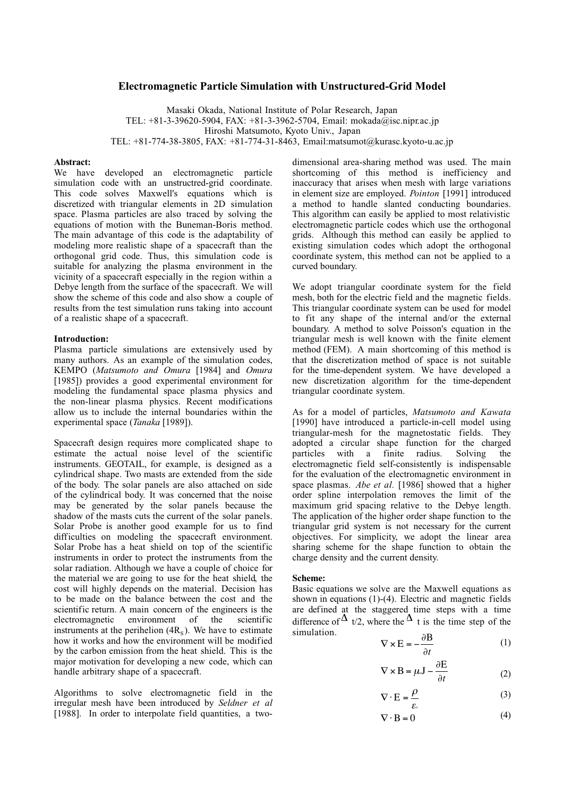## **Electromagnetic Particle Simulation with Unstructured-Grid Model**

Masaki Okada, National Institute of Polar Research, Japan TEL: +81-3-39620-5904, FAX: +81-3-3962-5704, Email: mokada@isc.nipr.ac.jp Hiroshi Matsumoto, Kyoto Univ., Japan TEL: +81-774-38-3805, FAX: +81-774-31-8463, Email:matsumot@kurasc.kyoto-u.ac.jp

# **Abstract:**

We have developed an electromagnetic particle simulation code with an unstructred-grid coordinate. This code solves Maxwell's equations which is discretized with triangular elements in 2D simulation space. Plasma particles are also traced by solving the equations of motion with the Buneman-Boris method. The main advantage of this code is the adaptability of modeling more realistic shape of a spacecraft than the orthogonal grid code. Thus, this simulation code is suitable for analyzing the plasma environment in the vicinity of a spacecraft especially in the region within a Debye length from the surface of the spacecraft. We will show the scheme of this code and also show a couple of results from the test simulation runs taking into account of a realistic shape of a spacecraft.

## **Introduction:**

Plasma particle simulations are extensively used by many authors. As an example of the simulation codes, KEMPO (*Matsumoto and Omura* [1984] and *Omura* [1985]) provides a good experimental environment for modeling the fundamental space plasma physics and the non-linear plasma physics. Recent modifications allow us to include the internal boundaries within the experimental space (*Tanaka* [1989]).

Spacecraft design requires more complicated shape to estimate the actual noise level of the scientific instruments. GEOTAIL, for example, is designed as a cylindrical shape. Two masts are extended from the side of the body. The solar panels are also attached on side of the cylindrical body. It was concerned that the noise may be generated by the solar panels because the shadow of the masts cuts the current of the solar panels. Solar Probe is another good example for us to find difficulties on modeling the spacecraft environment. Solar Probe has a heat shield on top of the scientific instruments in order to protect the instruments from the solar radiation. Although we have a couple of choice for the material we are going to use for the heat shield, the cost will highly depends on the material. Decision has to be made on the balance between the cost and the scientific return. A main concern of the engineers is the electromagnetic environment of the scientific instruments at the perihelion  $(4R<sub>s</sub>)$ . We have to estimate how it works and how the environment will be modified by the carbon emission from the heat shield. This is the major motivation for developing a new code, which can handle arbitrary shape of a spacecraft.

Algorithms to solve electromagnetic field in the irregular mesh have been introduced by *Seldner et al* [1988]. In order to interpolate field quantities, a twodimensional area-sharing method was used. The main shortcoming of this method is inefficiency and inaccuracy that arises when mesh with large variations in element size are employed. *Pointon* [1991] introduced a method to handle slanted conducting boundaries. This algorithm can easily be applied to most relativistic electromagnetic particle codes which use the orthogonal grids. Although this method can easily be applied to existing simulation codes which adopt the orthogonal coordinate system, this method can not be applied to a curved boundary.

We adopt triangular coordinate system for the field mesh, both for the electric field and the magnetic fields. This triangular coordinate system can be used for model to fit any shape of the internal and/or the external boundary. A method to solve Poisson's equation in the triangular mesh is well known with the finite element method (FEM). A main shortcoming of this method is that the discretization method of space is not suitable for the time-dependent system. We have developed a new discretization algorithm for the time-dependent triangular coordinate system.

As for a model of particles, *Matsumoto and Kawata* [1990] have introduced a particle-in-cell model using triangular-mesh for the magnetostatic fields. They adopted a circular shape function for the charged particles with a finite radius. Solving the electromagnetic field self-consistently is indispensable for the evaluation of the electromagnetic environment in space plasmas. *Abe et al.* [1986] showed that a higher order spline interpolation removes the limit of the maximum grid spacing relative to the Debye length. The application of the higher order shape function to the triangular grid system is not necessary for the current objectives. For simplicity, we adopt the linear area sharing scheme for the shape function to obtain the charge density and the current density.

## **Scheme:**

Basic equations we solve are the Maxwell equations as shown in equations (1)-(4). Electric and magnetic fields are defined at the staggered time steps with a time difference of  $\Delta$  t/2, where the  $\Delta$  t is the time step of the simulation.

$$
\nabla \times \mathbf{E} = -\frac{\partial \mathbf{B}}{\partial t}
$$
 (1)

$$
\nabla \times \mathbf{B} = \mu \mathbf{J} - \frac{\partial \mathbf{E}}{\partial t} \tag{2}
$$

$$
\nabla \cdot \mathbf{E} = \frac{\rho}{\varepsilon_o} \tag{3}
$$

$$
\nabla \cdot \mathbf{B} = 0 \tag{4}
$$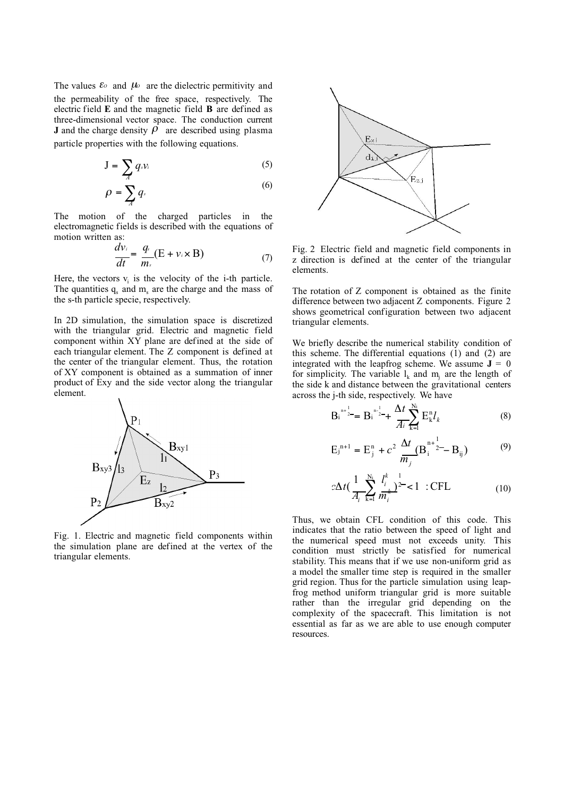The values  $\mathcal{E}^{\circ}$  and  $\mu^{\circ}$  are the dielectric permitivity and the permeability of the free space, respectively. The electric field **E** and the magnetic field **B** are defined as three-dimensional vector space. The conduction current **J** and the charge density  $\rho$  are described using plasma particle properties with the following equations.

$$
J = \sum_{A} q_{s} v_{i} \tag{5}
$$

$$
\rho = \sum_{A} q_{\cdot} \tag{6}
$$

The motion of the charged particles in the electromagnetic fields is described with the equations of motion written as:

$$
\frac{dv_i}{dt} = \frac{q}{m_s} (E + v_i \times B)
$$
 (7)

Here, the vectors  $v_i$  is the velocity of the i-th particle. The quantities  $q_s$  and  $m_s$  are the charge and the mass of the s-th particle specie, respectively.

In 2D simulation, the simulation space is discretized with the triangular grid. Electric and magnetic field component within XY plane are defined at the side of each triangular element. The Z component is defined at the center of the triangular element. Thus, the rotation of XY component is obtained as a summation of inner product of Exy and the side vector along the triangular element.



Fig. 1. Electric and magnetic field components within the simulation plane are defined at the vertex of the triangular elements.



Fig. 2 Electric field and magnetic field components in z direction is defined at the center of the triangular elements.

The rotation of Z component is obtained as the finite difference between two adjacent Z components. Figure 2 shows geometrical configuration between two adjacent triangular elements.

We briefly describe the numerical stability condition of this scheme. The differential equations (1) and (2) are integrated with the leapfrog scheme. We assume  $J = 0$ for simplicity. The variable  $l_k$  and  $m_i$  are the length of the side k and distance between the gravitational centers across the j-th side, respectively. We have

$$
B_i^{n+\frac{1}{2}} = B_i^{n-\frac{1}{2}} + \frac{\Delta t}{\overline{A}_i} \sum_{k=1}^{N_i} E_k^n l_k
$$
 (8)

$$
E_{j}^{n+1} = E_{j}^{n} + c^{2} \frac{\Delta t}{m_{j}} (B_{i}^{n+1} - B_{ij})
$$
 (9)

$$
c\Delta t \left(\frac{1}{A_i}\sum_{k=1}^{N_i} \frac{l_i^k}{m_i^k}\right)^{\frac{1}{2}} < 1 \quad : \text{CFL} \tag{10}
$$

Thus, we obtain CFL condition of this code. This indicates that the ratio between the speed of light and the numerical speed must not exceeds unity. This condition must strictly be satisfied for numerical stability. This means that if we use non-uniform grid as a model the smaller time step is required in the smaller grid region. Thus for the particle simulation using leapfrog method uniform triangular grid is more suitable rather than the irregular grid depending on the complexity of the spacecraft. This limitation is not essential as far as we are able to use enough computer resources.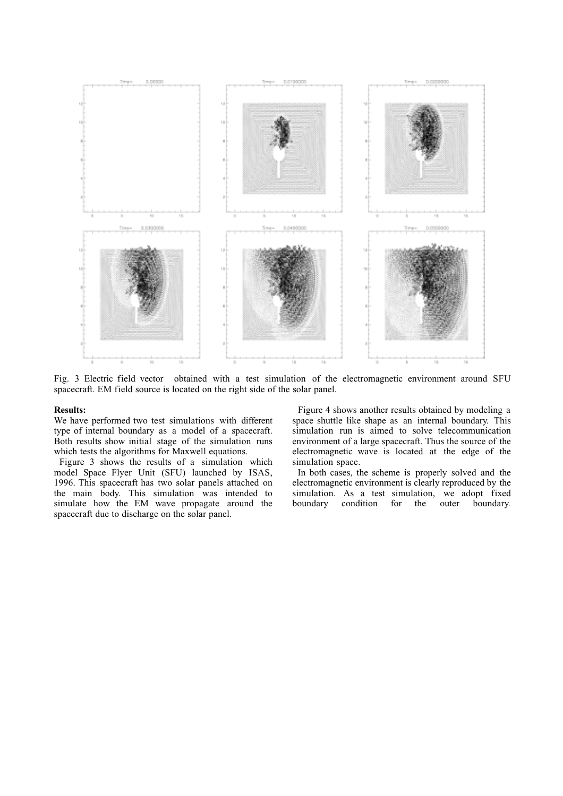

Fig. 3 Electric field vector obtained with a test simulation of the electromagnetic environment around SFU spacecraft. EM field source is located on the right side of the solar panel.

#### **Results:**

We have performed two test simulations with different type of internal boundary as a model of a spacecraft. Both results show initial stage of the simulation runs which tests the algorithms for Maxwell equations.

Figure 3 shows the results of a simulation which model Space Flyer Unit (SFU) launched by ISAS, 1996. This spacecraft has two solar panels attached on the main body. This simulation was intended to simulate how the EM wave propagate around the spacecraft due to discharge on the solar panel.

Figure 4 shows another results obtained by modeling a space shuttle like shape as an internal boundary. This simulation run is aimed to solve telecommunication environment of a large spacecraft. Thus the source of the electromagnetic wave is located at the edge of the simulation space.

In both cases, the scheme is properly solved and the electromagnetic environment is clearly reproduced by the simulation. As a test simulation, we adopt fixed boundary condition for the outer boundary.